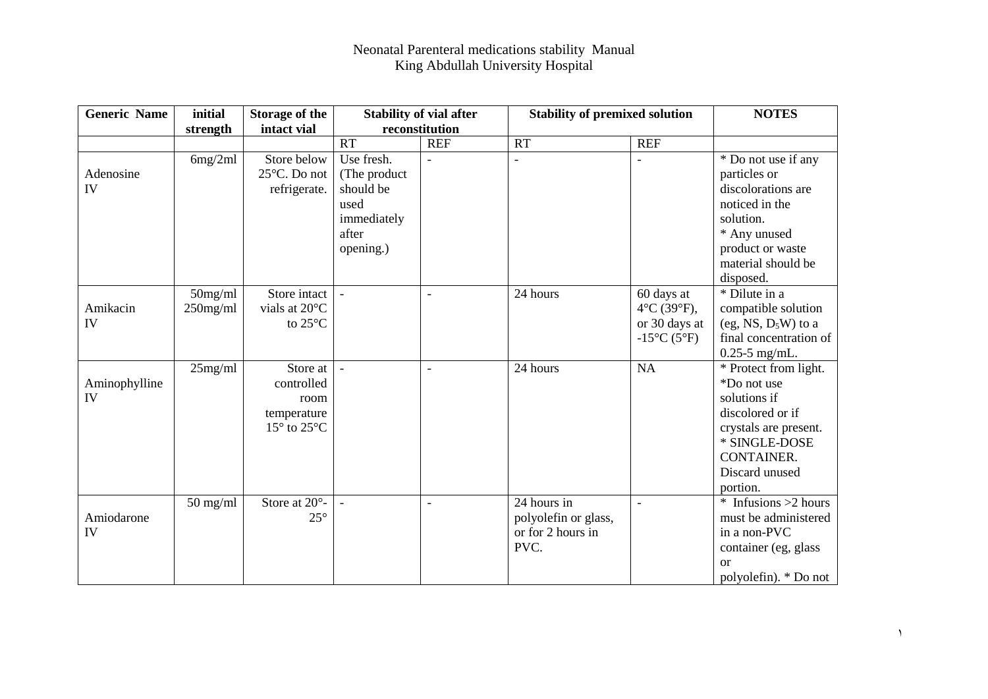| <b>Generic Name</b> | initial            | <b>Storage of the</b>          |                | <b>Stability of vial after</b> | <b>Stability of premixed solution</b> |                            | <b>NOTES</b>           |
|---------------------|--------------------|--------------------------------|----------------|--------------------------------|---------------------------------------|----------------------------|------------------------|
|                     | strength           | intact vial                    |                | reconstitution                 |                                       |                            |                        |
|                     |                    |                                | <b>RT</b>      | <b>REF</b>                     | <b>RT</b>                             | <b>REF</b>                 |                        |
|                     | 6mg/2ml            | Store below                    | Use fresh.     | $\overline{\phantom{a}}$       | $\overline{\phantom{0}}$              |                            | * Do not use if any    |
| Adenosine           |                    | 25°C. Do not                   | (The product)  |                                |                                       |                            | particles or           |
| IV                  |                    | refrigerate.                   | should be      |                                |                                       |                            | discolorations are     |
|                     |                    |                                | used           |                                |                                       |                            | noticed in the         |
|                     |                    |                                | immediately    |                                |                                       |                            | solution.              |
|                     |                    |                                | after          |                                |                                       |                            | * Any unused           |
|                     |                    |                                | opening.)      |                                |                                       |                            | product or waste       |
|                     |                    |                                |                |                                |                                       |                            | material should be     |
|                     |                    |                                |                |                                |                                       |                            | disposed.              |
|                     | $50$ mg/ml         | Store intact                   | $\blacksquare$ | $\overline{a}$                 | 24 hours                              | 60 days at                 | * Dilute in a          |
| Amikacin            | $250$ mg/ml        | vials at 20°C                  |                |                                |                                       | $4^{\circ}C(39^{\circ}F),$ | compatible solution    |
| IV                  |                    | to 25°C                        |                |                                |                                       | or 30 days at              | (eg, NS, $D_5W$ ) to a |
|                     |                    |                                |                |                                |                                       | $-15^{\circ}C(5^{\circ}F)$ | final concentration of |
|                     |                    |                                |                |                                |                                       |                            | $0.25 - 5$ mg/mL.      |
|                     | 25mg/ml            | Store at                       |                | $\overline{\phantom{a}}$       | 24 hours                              | NA                         | * Protect from light.  |
| Aminophylline       |                    | controlled                     |                |                                |                                       |                            | *Do not use            |
| IV                  |                    | room                           |                |                                |                                       |                            | solutions if           |
|                     |                    | temperature                    |                |                                |                                       |                            | discolored or if       |
|                     |                    | $15^{\circ}$ to $25^{\circ}$ C |                |                                |                                       |                            | crystals are present.  |
|                     |                    |                                |                |                                |                                       |                            | * SINGLE-DOSE          |
|                     |                    |                                |                |                                |                                       |                            | <b>CONTAINER.</b>      |
|                     |                    |                                |                |                                |                                       |                            | Discard unused         |
|                     |                    |                                |                |                                |                                       |                            | portion.               |
|                     | $50 \text{ mg/ml}$ | Store at $20^\circ$ -          |                | $\blacksquare$                 | 24 hours in                           | $\overline{a}$             | $*$ Infusions >2 hours |
| Amiodarone          |                    | $25^{\circ}$                   |                |                                | polyolefin or glass,                  |                            | must be administered   |
| IV                  |                    |                                |                |                                | or for 2 hours in                     |                            | in a non-PVC           |
|                     |                    |                                |                |                                | PVC.                                  |                            | container (eg, glass   |
|                     |                    |                                |                |                                |                                       |                            | <sub>or</sub>          |
|                     |                    |                                |                |                                |                                       |                            | polyolefin). * Do not  |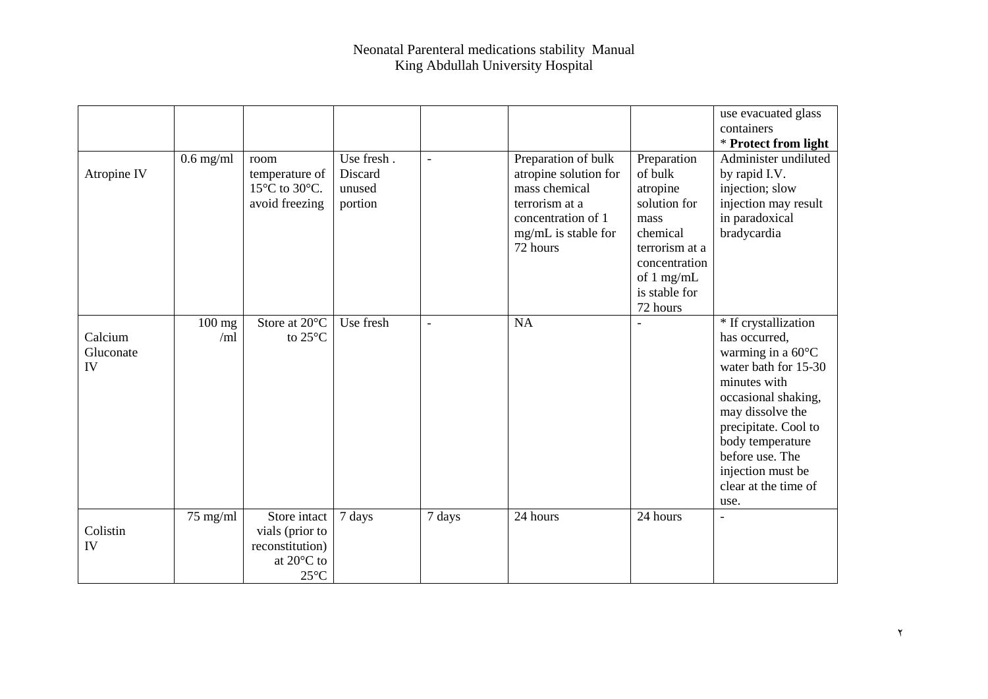|                            |                         |                                                                                    |                                            |                          |                                                                                                                                          |                                                                                                                                                        | use evacuated glass<br>containers                                                                                                                                                                                                                                 |
|----------------------------|-------------------------|------------------------------------------------------------------------------------|--------------------------------------------|--------------------------|------------------------------------------------------------------------------------------------------------------------------------------|--------------------------------------------------------------------------------------------------------------------------------------------------------|-------------------------------------------------------------------------------------------------------------------------------------------------------------------------------------------------------------------------------------------------------------------|
|                            |                         |                                                                                    |                                            |                          |                                                                                                                                          |                                                                                                                                                        | * Protect from light                                                                                                                                                                                                                                              |
| Atropine IV                | $0.6$ mg/ml             | room<br>temperature of<br>15°C to 30°C.<br>avoid freezing                          | Use fresh.<br>Discard<br>unused<br>portion | $\overline{\phantom{a}}$ | Preparation of bulk<br>atropine solution for<br>mass chemical<br>terrorism at a<br>concentration of 1<br>mg/mL is stable for<br>72 hours | Preparation<br>of bulk<br>atropine<br>solution for<br>mass<br>chemical<br>terrorism at a<br>concentration<br>of $1$ mg/mL<br>is stable for<br>72 hours | Administer undiluted<br>by rapid I.V.<br>injection; slow<br>injection may result<br>in paradoxical<br>bradycardia                                                                                                                                                 |
| Calcium<br>Gluconate<br>IV | $100 \text{ mg}$<br>/ml | Store at 20°C<br>to $25^{\circ}$ C                                                 | Use fresh                                  | $\blacksquare$           | <b>NA</b>                                                                                                                                |                                                                                                                                                        | * If crystallization<br>has occurred,<br>warming in a 60°C<br>water bath for 15-30<br>minutes with<br>occasional shaking,<br>may dissolve the<br>precipitate. Cool to<br>body temperature<br>before use. The<br>injection must be<br>clear at the time of<br>use. |
| Colistin<br>IV             | $75$ mg/ml              | Store intact<br>vials (prior to<br>reconstitution)<br>at 20°C to<br>$25^{\circ}$ C | 7 days                                     | 7 days                   | 24 hours                                                                                                                                 | 24 hours                                                                                                                                               | $\overline{\phantom{0}}$                                                                                                                                                                                                                                          |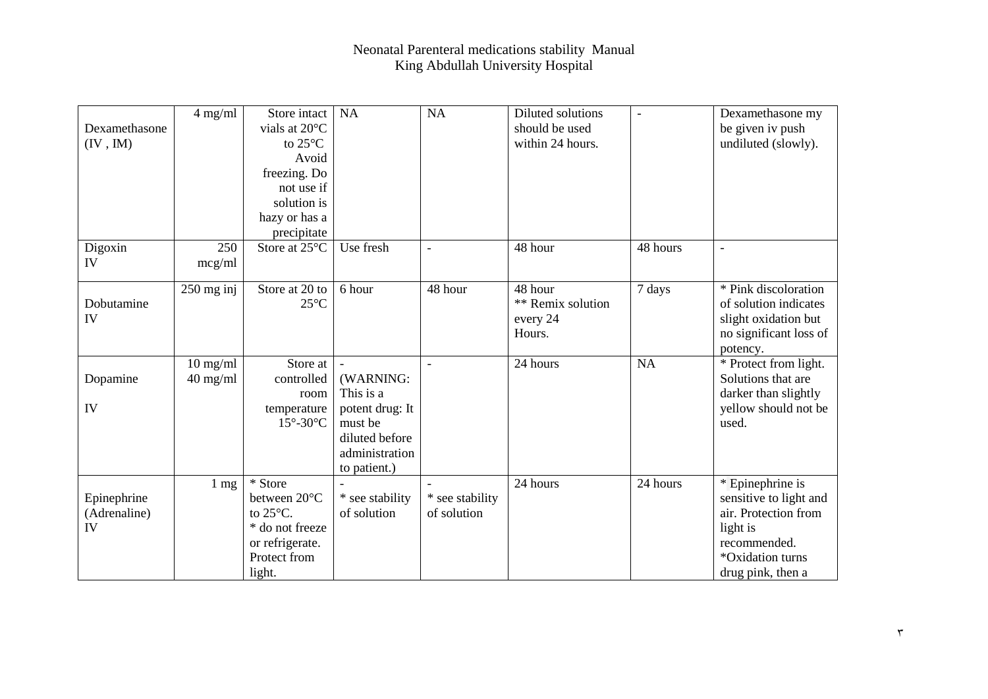| Dexamethasone<br>(IV, IM)         | $4$ mg/ml                | Store intact<br>vials at 20°C<br>to $25^{\circ}$ C<br>Avoid<br>freezing. Do<br>not use if<br>solution is<br>hazy or has a<br>precipitate | <b>NA</b>                                                                                                | <b>NA</b>                      | Diluted solutions<br>should be used<br>within 24 hours. | $\qquad \qquad \blacksquare$ | Dexamethasone my<br>be given iv push<br>undiluted (slowly).                                                                             |
|-----------------------------------|--------------------------|------------------------------------------------------------------------------------------------------------------------------------------|----------------------------------------------------------------------------------------------------------|--------------------------------|---------------------------------------------------------|------------------------------|-----------------------------------------------------------------------------------------------------------------------------------------|
| Digoxin<br>IV                     | 250<br>mcg/ml            | Store at 25°C                                                                                                                            | Use fresh                                                                                                | $\blacksquare$                 | 48 hour                                                 | 48 hours                     | $\overline{\phantom{a}}$                                                                                                                |
| Dobutamine<br>IV                  | $250$ mg inj             | Store at 20 to<br>$25^{\circ}$ C                                                                                                         | 6 hour                                                                                                   | 48 hour                        | 48 hour<br>** Remix solution<br>every 24<br>Hours.      | 7 days                       | * Pink discoloration<br>of solution indicates<br>slight oxidation but<br>no significant loss of<br>potency.                             |
| Dopamine<br>IV                    | $10$ mg/ml<br>$40$ mg/ml | Store at<br>controlled<br>room<br>temperature<br>$15^{\circ}$ -30 $^{\circ}$ C                                                           | (WARNING:<br>This is a<br>potent drug: It<br>must be<br>diluted before<br>administration<br>to patient.) |                                | 24 hours                                                | <b>NA</b>                    | * Protect from light.<br>Solutions that are<br>darker than slightly<br>yellow should not be<br>used.                                    |
| Epinephrine<br>(Adrenaline)<br>IV | $1 \text{ mg}$           | * Store<br>between 20°C<br>to $25^{\circ}$ C.<br>* do not freeze<br>or refrigerate.<br>Protect from<br>light.                            | * see stability<br>of solution                                                                           | * see stability<br>of solution | 24 hours                                                | 24 hours                     | * Epinephrine is<br>sensitive to light and<br>air. Protection from<br>light is<br>recommended.<br>*Oxidation turns<br>drug pink, then a |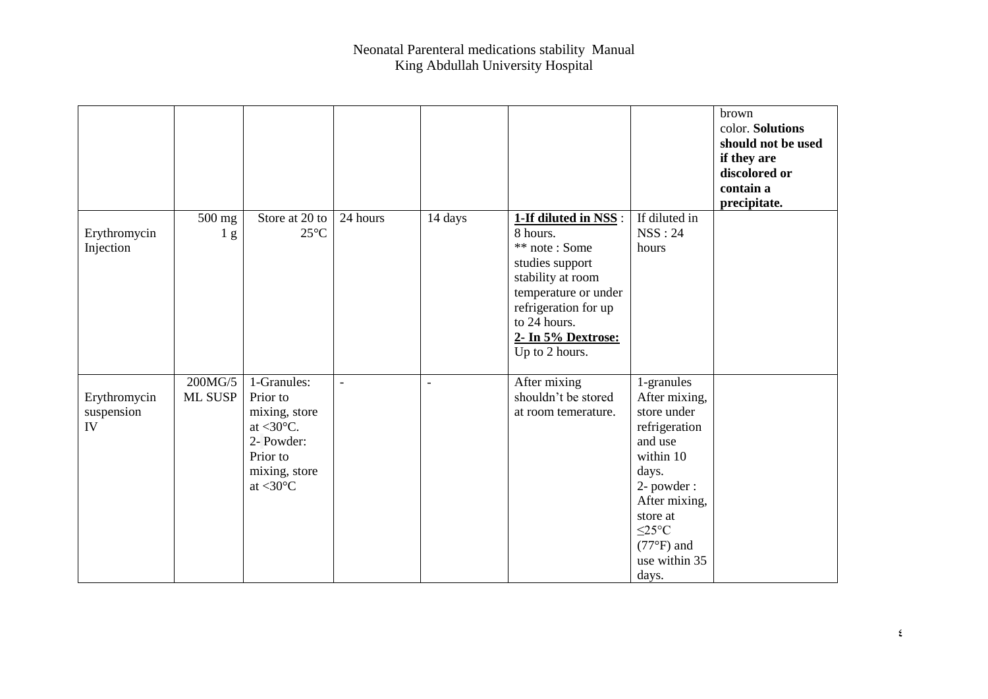|                                  |                          |                                                                                                                                         |                |                |                                                                                                                                                                                                   |                                                                                                                                                                                                  | brown<br>color. Solutions<br>should not be used<br>if they are<br>discolored or<br>contain a<br>precipitate. |
|----------------------------------|--------------------------|-----------------------------------------------------------------------------------------------------------------------------------------|----------------|----------------|---------------------------------------------------------------------------------------------------------------------------------------------------------------------------------------------------|--------------------------------------------------------------------------------------------------------------------------------------------------------------------------------------------------|--------------------------------------------------------------------------------------------------------------|
| Erythromycin<br>Injection        | 500 mg<br>1 <sub>g</sub> | Store at 20 to<br>$25^{\circ}$ C                                                                                                        | 24 hours       | 14 days        | 1-If diluted in NSS:<br>8 hours.<br>** note: Some<br>studies support<br>stability at room<br>temperature or under<br>refrigeration for up<br>to 24 hours.<br>2- In 5% Dextrose:<br>Up to 2 hours. | If diluted in<br>NSS:24<br>hours                                                                                                                                                                 |                                                                                                              |
| Erythromycin<br>suspension<br>IV | 200MG/5<br>ML SUSP       | 1-Granules:<br>Prior to<br>mixing, store<br>at $<$ 30 $\degree$ C.<br>2- Powder:<br>Prior to<br>mixing, store<br>at $<$ 30 $^{\circ}$ C | $\overline{a}$ | $\blacksquare$ | After mixing<br>shouldn't be stored<br>at room temerature.                                                                                                                                        | 1-granules<br>After mixing,<br>store under<br>refrigeration<br>and use<br>within 10<br>days.<br>2- powder:<br>After mixing,<br>store at<br>$\leq$ 25°C<br>$(77°F)$ and<br>use within 35<br>days. |                                                                                                              |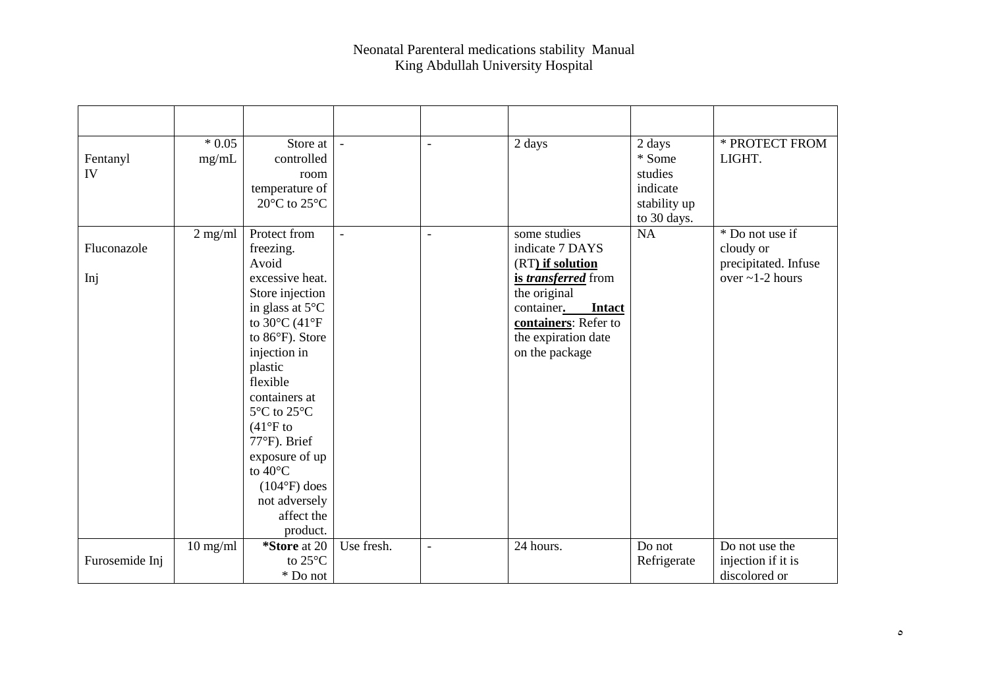| Fentanyl<br>IV     | $*0.05$<br>mg/mL | Store at<br>controlled<br>room<br>temperature of<br>20 $\rm{^{\circ}C}$ to 25 $\rm{^{\circ}C}$                                                                                                                                                                                                                                                                            | $\blacksquare$ | $\overline{a}$           | 2 days                                                                                                                                                                              | 2 days<br>* Some<br>studies<br>indicate<br>stability up<br>to 30 days. | * PROTECT FROM<br>LIGHT.                                                      |
|--------------------|------------------|---------------------------------------------------------------------------------------------------------------------------------------------------------------------------------------------------------------------------------------------------------------------------------------------------------------------------------------------------------------------------|----------------|--------------------------|-------------------------------------------------------------------------------------------------------------------------------------------------------------------------------------|------------------------------------------------------------------------|-------------------------------------------------------------------------------|
| Fluconazole<br>Inj | $2$ mg/ml        | Protect from<br>freezing.<br>Avoid<br>excessive heat.<br>Store injection<br>in glass at $5^{\circ}$ C<br>to 30 $^{\circ}$ C (41 $^{\circ}$ F<br>to 86°F). Store<br>injection in<br>plastic<br>flexible<br>containers at<br>5°C to 25°C<br>$(41°F)$ to<br>77°F). Brief<br>exposure of up<br>to $40^{\circ}$ C<br>$(104°F)$ does<br>not adversely<br>affect the<br>product. |                | $\overline{a}$           | some studies<br>indicate 7 DAYS<br>(RT) if solution<br>is transferred from<br>the original<br>container.<br>Intact<br>containers: Refer to<br>the expiration date<br>on the package | NA                                                                     | * Do not use if<br>cloudy or<br>precipitated. Infuse<br>over $\sim$ 1-2 hours |
| Furosemide Inj     | $10$ mg/ml       | *Store at 20<br>to 25°C<br>* Do not                                                                                                                                                                                                                                                                                                                                       | Use fresh.     | $\overline{\phantom{a}}$ | 24 hours.                                                                                                                                                                           | Do not<br>Refrigerate                                                  | Do not use the<br>injection if it is<br>discolored or                         |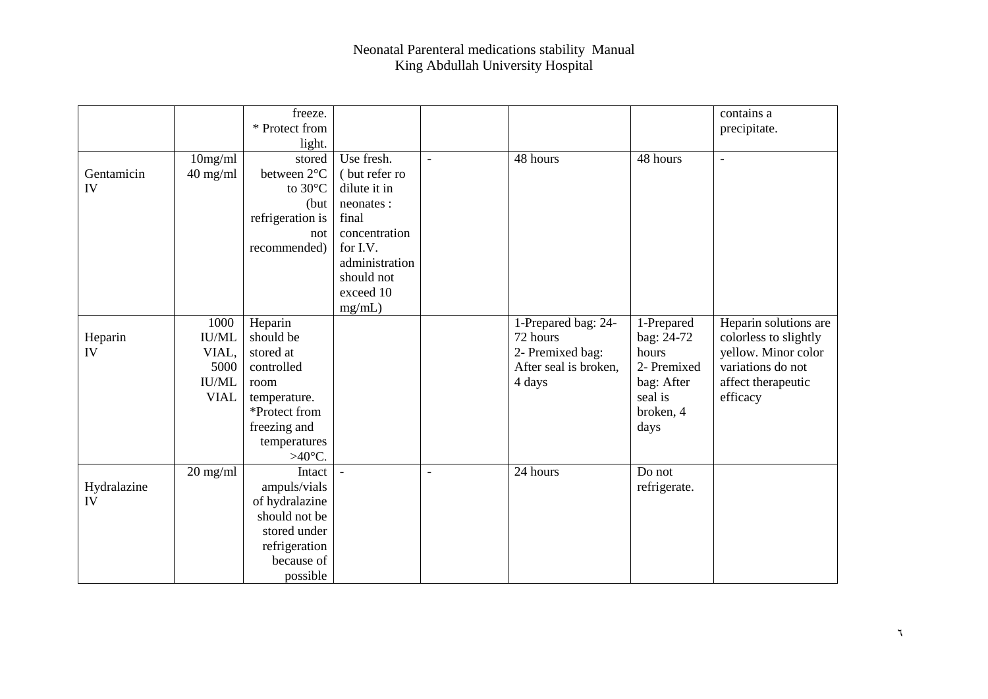|             |              | freeze.          |                |                |                       |              | contains a               |
|-------------|--------------|------------------|----------------|----------------|-----------------------|--------------|--------------------------|
|             |              | * Protect from   |                |                |                       |              | precipitate.             |
|             |              | light.           |                |                |                       |              |                          |
|             | 10mg/ml      | stored           | Use fresh.     | $\blacksquare$ | 48 hours              | 48 hours     | $\overline{\phantom{a}}$ |
| Gentamicin  | $40$ mg/ml   | between 2°C      | (but refer ro  |                |                       |              |                          |
| IV          |              | to 30°C          | dilute it in   |                |                       |              |                          |
|             |              | (but             | neonates:      |                |                       |              |                          |
|             |              | refrigeration is | final          |                |                       |              |                          |
|             |              | not              | concentration  |                |                       |              |                          |
|             |              | recommended)     | for I.V.       |                |                       |              |                          |
|             |              |                  | administration |                |                       |              |                          |
|             |              |                  | should not     |                |                       |              |                          |
|             |              |                  | exceed 10      |                |                       |              |                          |
|             |              |                  | mg/mL)         |                |                       |              |                          |
|             | 1000         | Heparin          |                |                | 1-Prepared bag: 24-   | 1-Prepared   | Heparin solutions are    |
| Heparin     | <b>IU/ML</b> | should be        |                |                | 72 hours              | bag: 24-72   | colorless to slightly    |
| IV          | VIAL,        | stored at        |                |                | 2- Premixed bag:      | hours        | yellow. Minor color      |
|             | 5000         | controlled       |                |                | After seal is broken, | 2- Premixed  | variations do not        |
|             | <b>IU/ML</b> | room             |                |                | 4 days                | bag: After   | affect therapeutic       |
|             | <b>VIAL</b>  | temperature.     |                |                |                       | seal is      | efficacy                 |
|             |              | *Protect from    |                |                |                       | broken, 4    |                          |
|             |              | freezing and     |                |                |                       | days         |                          |
|             |              | temperatures     |                |                |                       |              |                          |
|             |              | $>40^{\circ}$ C. |                |                |                       |              |                          |
|             | $20$ mg/ml   | Intact           |                | $\blacksquare$ | 24 hours              | Do not       |                          |
| Hydralazine |              | ampuls/vials     |                |                |                       | refrigerate. |                          |
| IV          |              | of hydralazine   |                |                |                       |              |                          |
|             |              | should not be    |                |                |                       |              |                          |
|             |              | stored under     |                |                |                       |              |                          |
|             |              | refrigeration    |                |                |                       |              |                          |
|             |              | because of       |                |                |                       |              |                          |
|             |              | possible         |                |                |                       |              |                          |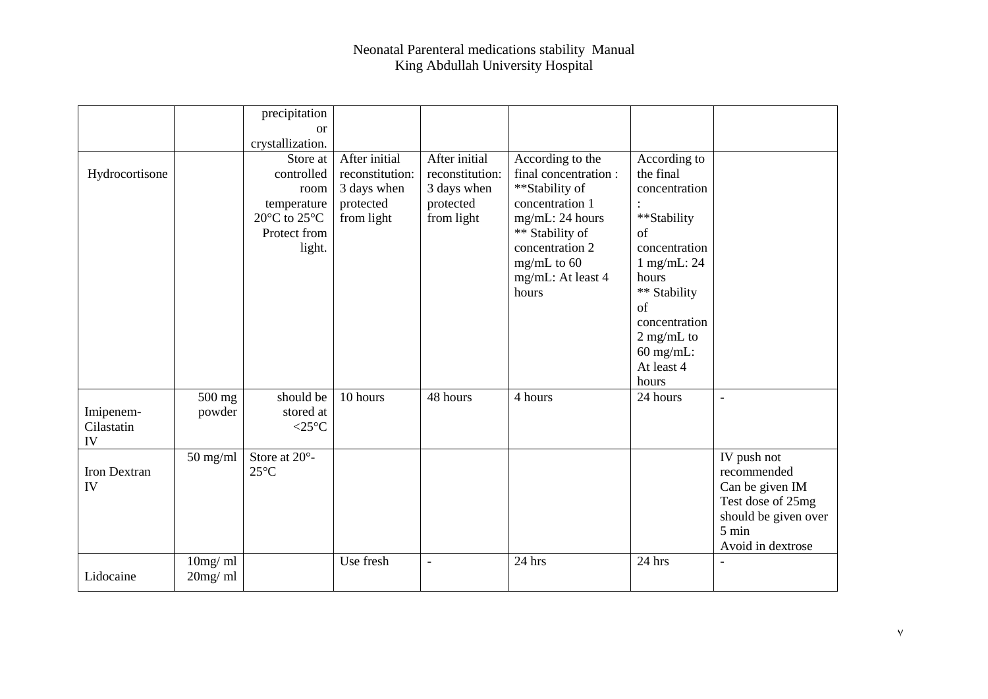|                               |                    | precipitation                                                                                                         |                                                                            |                                                                            |                                                                                                                                                                                       |                                                                                                                                                                                                       |                                                                                                                                    |
|-------------------------------|--------------------|-----------------------------------------------------------------------------------------------------------------------|----------------------------------------------------------------------------|----------------------------------------------------------------------------|---------------------------------------------------------------------------------------------------------------------------------------------------------------------------------------|-------------------------------------------------------------------------------------------------------------------------------------------------------------------------------------------------------|------------------------------------------------------------------------------------------------------------------------------------|
|                               |                    | <sub>or</sub>                                                                                                         |                                                                            |                                                                            |                                                                                                                                                                                       |                                                                                                                                                                                                       |                                                                                                                                    |
|                               |                    | crystallization.                                                                                                      |                                                                            |                                                                            |                                                                                                                                                                                       |                                                                                                                                                                                                       |                                                                                                                                    |
| Hydrocortisone                |                    | Store at<br>controlled<br>room<br>temperature<br>20 $\rm{^{\circ}C}$ to 25 $\rm{^{\circ}C}$<br>Protect from<br>light. | After initial<br>reconstitution:<br>3 days when<br>protected<br>from light | After initial<br>reconstitution:<br>3 days when<br>protected<br>from light | According to the<br>final concentration:<br>**Stability of<br>concentration 1<br>mg/mL: 24 hours<br>** Stability of<br>concentration 2<br>$mg/mL$ to 60<br>mg/mL: At least 4<br>hours | According to<br>the final<br>concentration<br>**Stability<br>of<br>concentration<br>$1$ mg/mL: 24<br>hours<br>** Stability<br>of<br>concentration<br>2 mg/mL to<br>$60$ mg/mL:<br>At least 4<br>hours |                                                                                                                                    |
| Imipenem-<br>Cilastatin<br>IV | 500 mg<br>powder   | should be<br>stored at<br>$<$ 25 $^{\circ}$ C                                                                         | 10 hours                                                                   | 48 hours                                                                   | 4 hours                                                                                                                                                                               | 24 hours                                                                                                                                                                                              | $\overline{a}$                                                                                                                     |
| Iron Dextran<br>IV            | $50$ mg/ml         | Store at 20°-<br>$25^{\circ}$ C                                                                                       |                                                                            |                                                                            |                                                                                                                                                                                       |                                                                                                                                                                                                       | IV push not<br>recommended<br>Can be given IM<br>Test dose of 25mg<br>should be given over<br>$5 \text{ min}$<br>Avoid in dextrose |
| Lidocaine                     | 10mg/ml<br>20mg/ml |                                                                                                                       | Use fresh                                                                  | $\overline{\phantom{a}}$                                                   | $24$ hrs                                                                                                                                                                              | 24 hrs                                                                                                                                                                                                | $\overline{\phantom{0}}$                                                                                                           |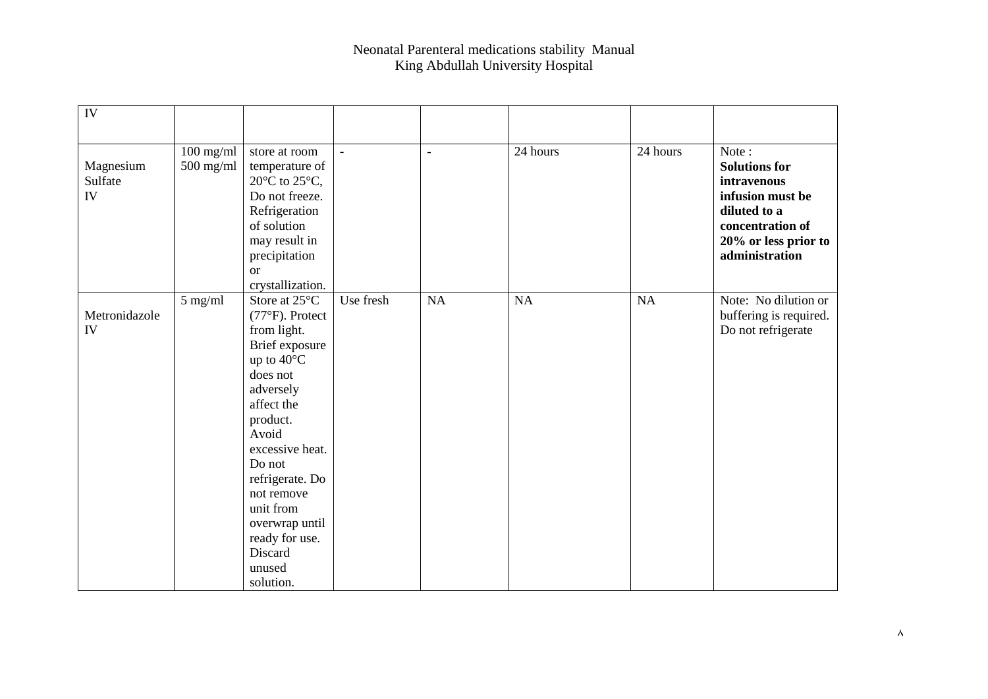| IV                         |                            |                                                                                                                                                                                                                                                                                                 |                |                |          |           |                                                                                                                                                |
|----------------------------|----------------------------|-------------------------------------------------------------------------------------------------------------------------------------------------------------------------------------------------------------------------------------------------------------------------------------------------|----------------|----------------|----------|-----------|------------------------------------------------------------------------------------------------------------------------------------------------|
| Magnesium<br>Sulfate<br>IV | $100$ mg/ml<br>$500$ mg/ml | store at room<br>temperature of<br>20 $\rm{^{\circ}C}$ to 25 $\rm{^{\circ}C}$ ,<br>Do not freeze.<br>Refrigeration<br>of solution<br>may result in<br>precipitation<br>$\alpha$<br>crystallization.                                                                                             | $\blacksquare$ | $\blacksquare$ | 24 hours | 24 hours  | Note:<br><b>Solutions for</b><br>intravenous<br>infusion must be<br>diluted to a<br>concentration of<br>20% or less prior to<br>administration |
| Metronidazole<br>IV        | 5 mg/ml                    | Store at 25°C<br>$(77°F)$ . Protect<br>from light.<br>Brief exposure<br>up to 40°C<br>does not<br>adversely<br>affect the<br>product.<br>Avoid<br>excessive heat.<br>Do not<br>refrigerate. Do<br>not remove<br>unit from<br>overwrap until<br>ready for use.<br>Discard<br>unused<br>solution. | Use fresh      | NA             | NA       | <b>NA</b> | Note: No dilution or<br>buffering is required.<br>Do not refrigerate                                                                           |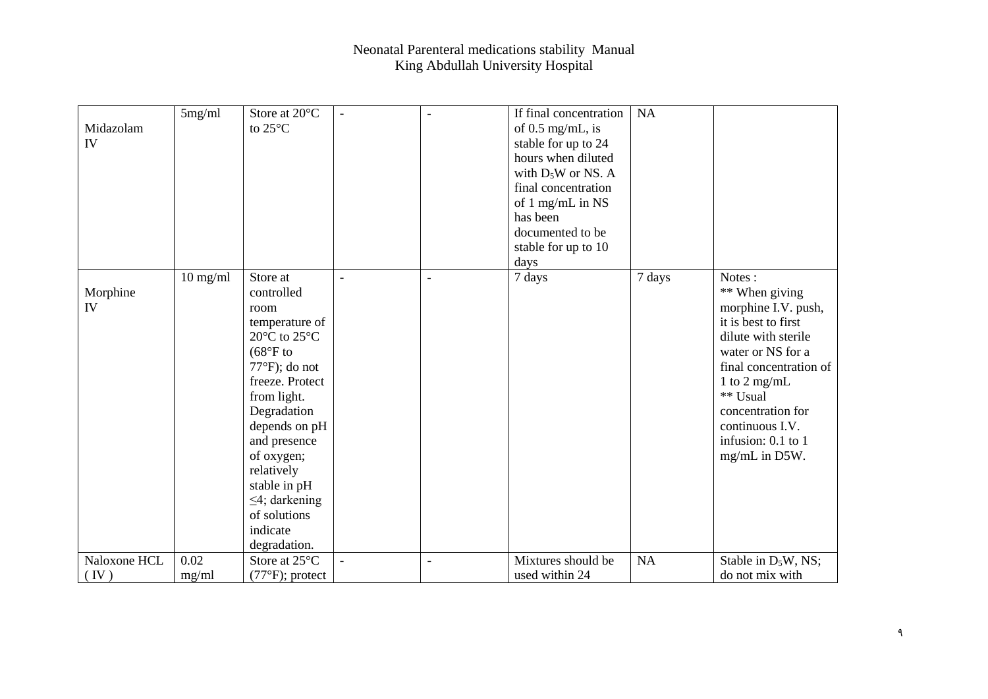| Midazolam<br>IV | 5mg/ml     | Store at 20°C<br>to 25°C                                                                                                                                                                                                                                                                                                                  | $\blacksquare$ | $\blacksquare$ | If final concentration<br>of $0.5$ mg/mL, is<br>stable for up to 24<br>hours when diluted<br>with $D_5W$ or NS. A<br>final concentration<br>of 1 mg/mL in NS<br>has been | NA     |                                                                                                                                                                                                                                                         |
|-----------------|------------|-------------------------------------------------------------------------------------------------------------------------------------------------------------------------------------------------------------------------------------------------------------------------------------------------------------------------------------------|----------------|----------------|--------------------------------------------------------------------------------------------------------------------------------------------------------------------------|--------|---------------------------------------------------------------------------------------------------------------------------------------------------------------------------------------------------------------------------------------------------------|
|                 |            |                                                                                                                                                                                                                                                                                                                                           |                |                | documented to be<br>stable for up to 10                                                                                                                                  |        |                                                                                                                                                                                                                                                         |
|                 |            |                                                                                                                                                                                                                                                                                                                                           |                |                | days                                                                                                                                                                     |        |                                                                                                                                                                                                                                                         |
| Morphine<br>IV  | $10$ mg/ml | Store at<br>controlled<br>room<br>temperature of<br>20 $\rm{^{\circ}C}$ to 25 $\rm{^{\circ}C}$<br>$(68°F)$ to<br>$77^{\circ}$ F); do not<br>freeze. Protect<br>from light.<br>Degradation<br>depends on pH<br>and presence<br>of oxygen;<br>relatively<br>stable in pH<br>$\leq$ 4; darkening<br>of solutions<br>indicate<br>degradation. |                | $\blacksquare$ | 7 days                                                                                                                                                                   | 7 days | Notes:<br>** When giving<br>morphine I.V. push,<br>it is best to first<br>dilute with sterile<br>water or NS for a<br>final concentration of<br>1 to 2 mg/mL<br>** Usual<br>concentration for<br>continuous I.V.<br>infusion: 0.1 to 1<br>mg/mL in D5W. |
| Naloxone HCL    | 0.02       | Store at 25°C                                                                                                                                                                                                                                                                                                                             |                | $\blacksquare$ | Mixtures should be                                                                                                                                                       | NA     | Stable in D <sub>5</sub> W, NS;                                                                                                                                                                                                                         |
| (IV)            | mg/ml      | $(77°F)$ ; protect                                                                                                                                                                                                                                                                                                                        |                |                | used within 24                                                                                                                                                           |        | do not mix with                                                                                                                                                                                                                                         |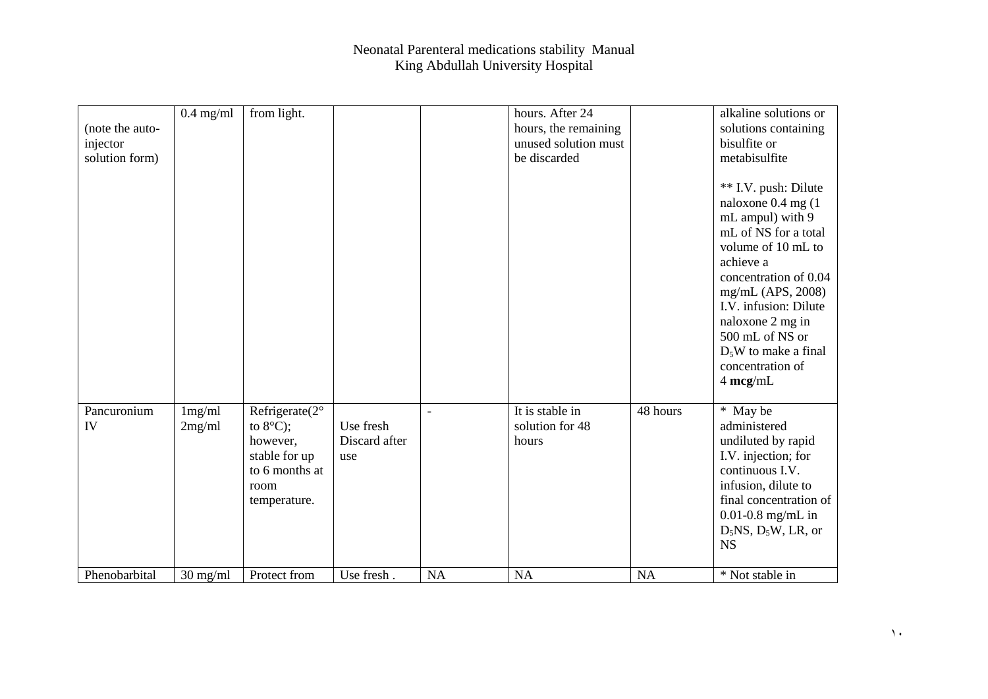|                 | $0.4$ mg/ml | from light.                     |               |                          | hours. After 24      |           | alkaline solutions or                                                                                                                                                                                                                                                                             |
|-----------------|-------------|---------------------------------|---------------|--------------------------|----------------------|-----------|---------------------------------------------------------------------------------------------------------------------------------------------------------------------------------------------------------------------------------------------------------------------------------------------------|
| (note the auto- |             |                                 |               |                          | hours, the remaining |           | solutions containing                                                                                                                                                                                                                                                                              |
| injector        |             |                                 |               |                          | unused solution must |           | bisulfite or                                                                                                                                                                                                                                                                                      |
| solution form)  |             |                                 |               |                          | be discarded         |           | metabisulfite                                                                                                                                                                                                                                                                                     |
|                 |             |                                 |               |                          |                      |           | ** I.V. push: Dilute<br>naloxone 0.4 mg (1<br>mL ampul) with 9<br>mL of NS for a total<br>volume of 10 mL to<br>achieve a<br>concentration of 0.04<br>mg/mL (APS, 2008)<br>I.V. infusion: Dilute<br>naloxone 2 mg in<br>500 mL of NS or<br>$D_5W$ to make a final<br>concentration of<br>4 mcg/mL |
| Pancuronium     | 1mg/ml      | Refrigerate $(2^{\circ})$       |               | $\overline{\phantom{a}}$ | It is stable in      | 48 hours  | * May be                                                                                                                                                                                                                                                                                          |
| IV              | 2mg/ml      | to $8^{\circ}$ C);              | Use fresh     |                          | solution for 48      |           | administered                                                                                                                                                                                                                                                                                      |
|                 |             | however,                        | Discard after |                          | hours                |           | undiluted by rapid                                                                                                                                                                                                                                                                                |
|                 |             | stable for up<br>to 6 months at | use           |                          |                      |           | I.V. injection; for<br>continuous I.V.                                                                                                                                                                                                                                                            |
|                 |             | room                            |               |                          |                      |           | infusion, dilute to                                                                                                                                                                                                                                                                               |
|                 |             | temperature.                    |               |                          |                      |           | final concentration of                                                                                                                                                                                                                                                                            |
|                 |             |                                 |               |                          |                      |           | $0.01 - 0.8$ mg/mL in                                                                                                                                                                                                                                                                             |
|                 |             |                                 |               |                          |                      |           | $D_5$ NS, $D_5$ W, LR, or                                                                                                                                                                                                                                                                         |
|                 |             |                                 |               |                          |                      |           | <b>NS</b>                                                                                                                                                                                                                                                                                         |
|                 |             |                                 |               |                          |                      |           |                                                                                                                                                                                                                                                                                                   |
| Phenobarbital   | $30$ mg/ml  | Protect from                    | Use fresh.    | <b>NA</b>                | <b>NA</b>            | <b>NA</b> | * Not stable in                                                                                                                                                                                                                                                                                   |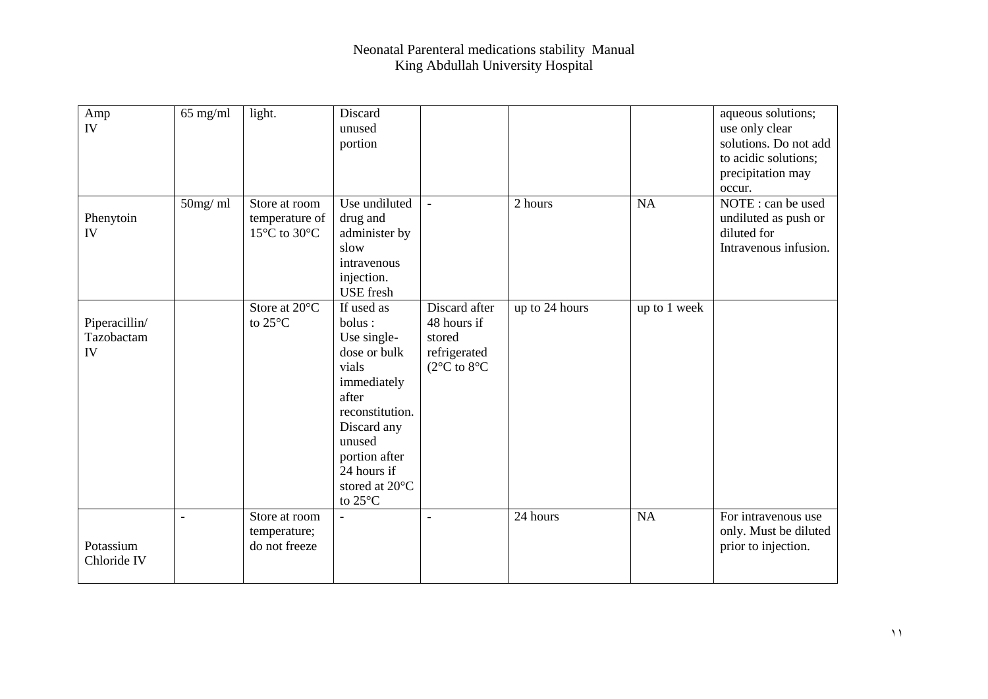| Amp<br>IV                         | $65$ mg/ml     | light.                                          | Discard<br>unused<br>portion                                                                                                                                                                  |                                                                                            |                |              | aqueous solutions;<br>use only clear<br>solutions. Do not add<br>to acidic solutions;<br>precipitation may |
|-----------------------------------|----------------|-------------------------------------------------|-----------------------------------------------------------------------------------------------------------------------------------------------------------------------------------------------|--------------------------------------------------------------------------------------------|----------------|--------------|------------------------------------------------------------------------------------------------------------|
| Phenytoin<br>IV                   | $50$ mg/ ml    | Store at room<br>temperature of<br>15°C to 30°C | Use undiluted<br>drug and<br>administer by<br>slow<br>intravenous<br>injection.<br><b>USE</b> fresh                                                                                           | $\blacksquare$                                                                             | 2 hours        | <b>NA</b>    | occur.<br>NOTE : can be used<br>undiluted as push or<br>diluted for<br>Intravenous infusion.               |
| Piperacillin/<br>Tazobactam<br>IV |                | Store at $20^{\circ}$ C<br>to $25^{\circ}$ C    | If used as<br>bolus:<br>Use single-<br>dose or bulk<br>vials<br>immediately<br>after<br>reconstitution.<br>Discard any<br>unused<br>portion after<br>24 hours if<br>stored at 20°C<br>to 25°C | Discard after<br>48 hours if<br>stored<br>refrigerated<br>( $2^{\circ}$ C to $8^{\circ}$ C | up to 24 hours | up to 1 week |                                                                                                            |
| Potassium<br>Chloride IV          | $\blacksquare$ | Store at room<br>temperature;<br>do not freeze  | $\blacksquare$                                                                                                                                                                                | $\blacksquare$                                                                             | 24 hours       | NA           | For intravenous use<br>only. Must be diluted<br>prior to injection.                                        |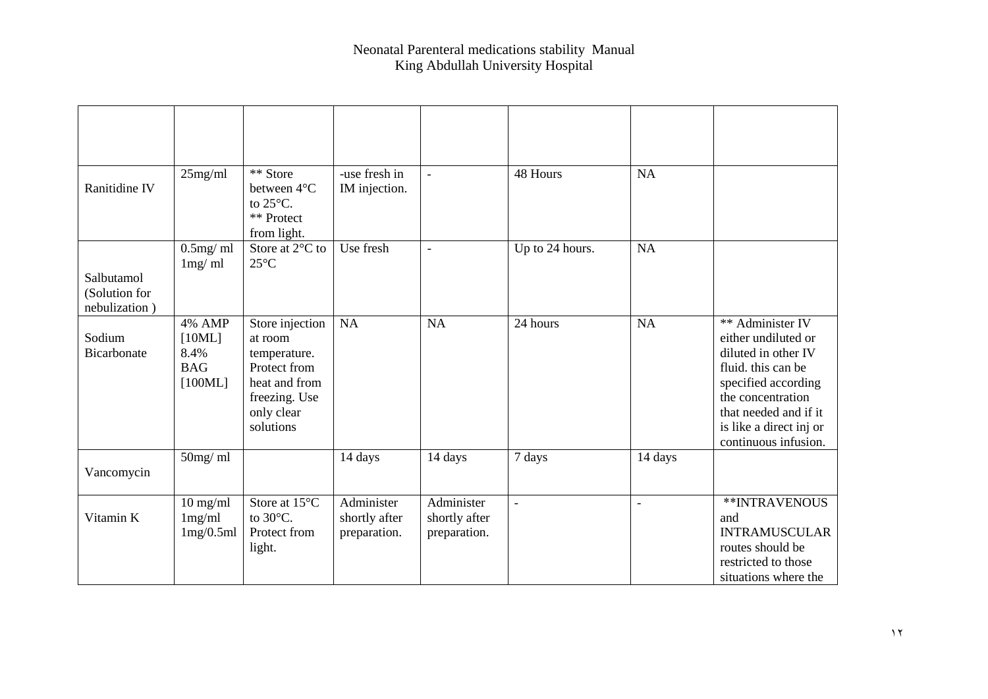| Ranitidine IV                                | 25mg/ml                                             | ** Store<br>between 4°C<br>to 25°C.<br>** Protect<br>from light.                                                        | -use fresh in<br>IM injection.              | $\overline{a}$                              | 48 Hours        | NA      |                                                                                                                                                                                                              |
|----------------------------------------------|-----------------------------------------------------|-------------------------------------------------------------------------------------------------------------------------|---------------------------------------------|---------------------------------------------|-----------------|---------|--------------------------------------------------------------------------------------------------------------------------------------------------------------------------------------------------------------|
|                                              | $0.5$ mg/ml                                         | Store at $2^{\circ}$ C to                                                                                               | Use fresh                                   | $\overline{\phantom{a}}$                    | Up to 24 hours. | NA      |                                                                                                                                                                                                              |
| Salbutamol<br>(Solution for<br>nebulization) | 1mg/ml                                              | $25^{\circ}$ C                                                                                                          |                                             |                                             |                 |         |                                                                                                                                                                                                              |
| Sodium<br>Bicarbonate                        | 4% AMP<br>[10ML]<br>8.4%<br><b>BAG</b><br>$[100ML]$ | Store injection<br>at room<br>temperature.<br>Protect from<br>heat and from<br>freezing. Use<br>only clear<br>solutions | <b>NA</b>                                   | <b>NA</b>                                   | 24 hours        | NA      | ** Administer IV<br>either undiluted or<br>diluted in other IV<br>fluid. this can be<br>specified according<br>the concentration<br>that needed and if it<br>is like a direct inj or<br>continuous infusion. |
| Vancomycin                                   | 50mg/ml                                             |                                                                                                                         | 14 days                                     | 14 days                                     | 7 days          | 14 days |                                                                                                                                                                                                              |
| Vitamin K                                    | $10$ mg/ml<br>1mg/ml<br>1mg/0.5ml                   | Store at 15°C<br>to $30^{\circ}$ C.<br>Protect from<br>light.                                                           | Administer<br>shortly after<br>preparation. | Administer<br>shortly after<br>preparation. | $\blacksquare$  | L.      | **INTRAVENOUS<br>and<br><b>INTRAMUSCULAR</b><br>routes should be<br>restricted to those<br>situations where the                                                                                              |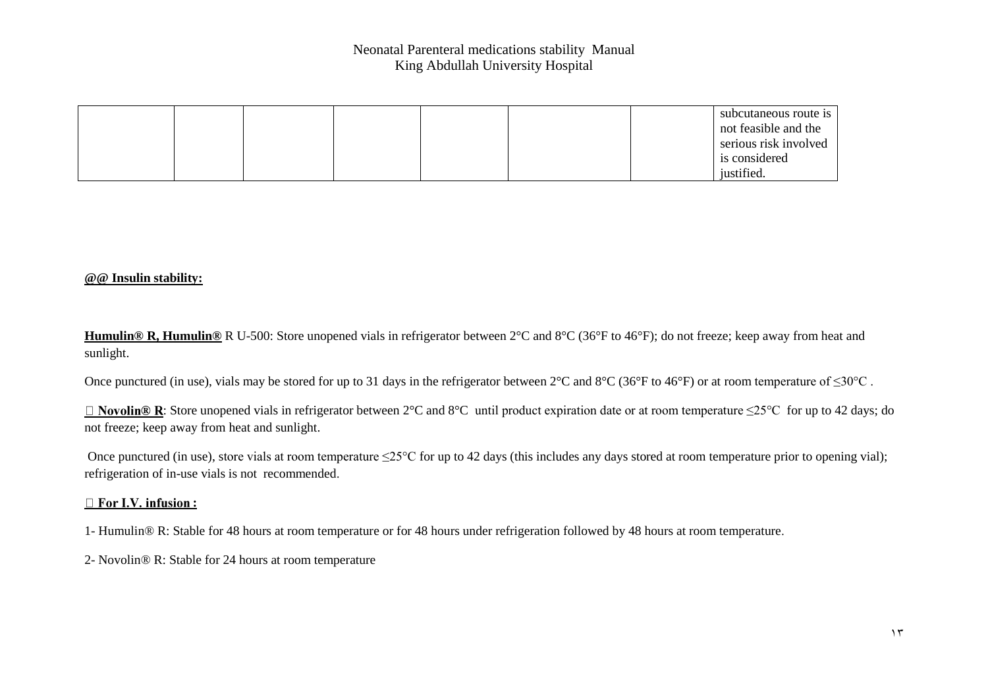|  |  |  | subcutaneous route is |
|--|--|--|-----------------------|
|  |  |  | not feasible and the  |
|  |  |  | serious risk involved |
|  |  |  | is considered         |
|  |  |  | justified.            |

#### **@@ Insulin stability:**

**Humulin® R, Humulin®** R U-500: Store unopened vials in refrigerator between 2°C and 8°C (36°F to 46°F); do not freeze; keep away from heat and sunlight.

Once punctured (in use), vials may be stored for up to 31 days in the refrigerator between 2°C and 8°C (36°F to 46°F) or at room temperature of ≤30°C .

: Store unopened vials in refrigerator between 2°C and 8°C until product expiration date or at room temperature ≤25°C for up to 42 days; do not freeze; keep away from heat and sunlight.

Once punctured (in use), store vials at room temperature  $\leq 25^{\circ}$ C for up to 42 days (this includes any days stored at room temperature prior to opening vial); refrigeration of in-use vials is not recommended.

#### □ For I.V. infusion :

1- Humulin® R: Stable for 48 hours at room temperature or for 48 hours under refrigeration followed by 48 hours at room temperature.

2- Novolin® R: Stable for 24 hours at room temperature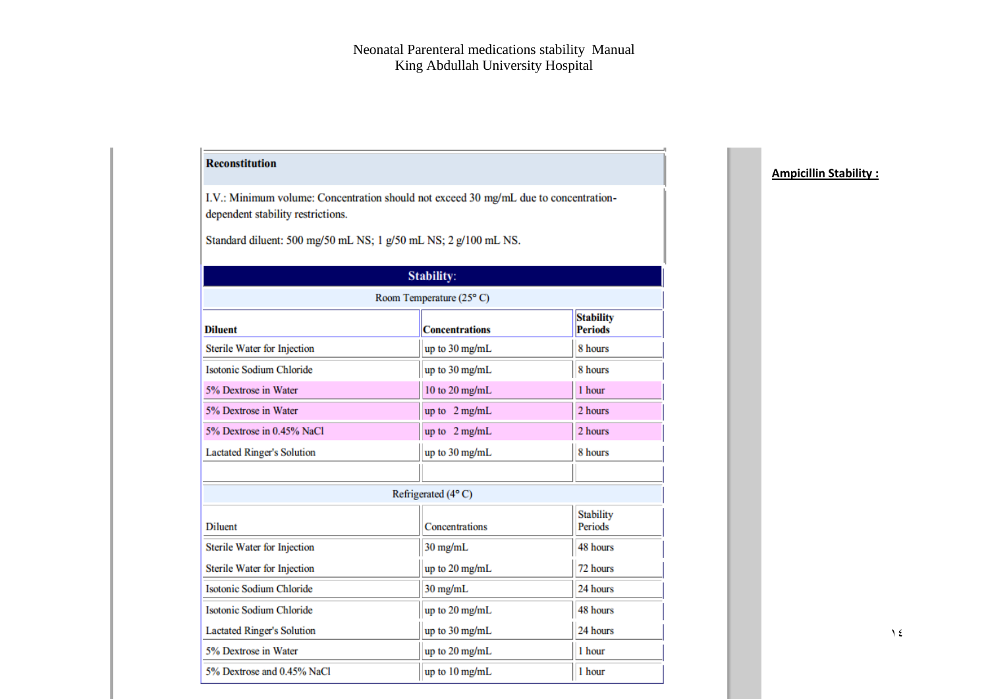## **Reconstitution**

I.V.: Minimum volume: Concentration should not exceed 30 mg/mL due to concentrationdependent stability restrictions.

Standard diluent: 500 mg/50 mL NS; 1 g/50 mL NS; 2 g/100 mL NS.

# Stability:

| Room Temperature (25°C)           |                         |                                    |  |  |  |  |
|-----------------------------------|-------------------------|------------------------------------|--|--|--|--|
| <b>Diluent</b>                    | <b>Concentrations</b>   | <b>Stability</b><br><b>Periods</b> |  |  |  |  |
| Sterile Water for Injection       | up to 30 mg/mL          | 8 hours                            |  |  |  |  |
| <b>Isotonic Sodium Chloride</b>   | up to 30 mg/mL          | 8 hours                            |  |  |  |  |
| 5% Dextrose in Water              | 10 to 20 mg/mL          | 1 hour                             |  |  |  |  |
| 5% Dextrose in Water              | up to $2 \text{ mg/mL}$ | 2 hours                            |  |  |  |  |
| 5% Dextrose in 0.45% NaCl         | up to 2 mg/mL           | 2 hours                            |  |  |  |  |
| <b>Lactated Ringer's Solution</b> | up to 30 mg/mL          | 8 hours                            |  |  |  |  |
|                                   |                         |                                    |  |  |  |  |
|                                   | Refrigerated (4°C)      |                                    |  |  |  |  |
| <b>Diluent</b>                    | Concentrations          | <b>Stability</b><br>Periods        |  |  |  |  |
| Sterile Water for Injection       | 30 mg/mL                | 48 hours                           |  |  |  |  |
| Sterile Water for Injection       | up to 20 mg/mL          | 72 hours                           |  |  |  |  |
| <b>Isotonic Sodium Chloride</b>   | $30$ mg/mL              | 24 hours                           |  |  |  |  |
| <b>Isotonic Sodium Chloride</b>   | up to 20 mg/mL          | 48 hours                           |  |  |  |  |
| <b>Lactated Ringer's Solution</b> | up to 30 mg/mL          | 24 hours                           |  |  |  |  |
| 5% Dextrose in Water              | up to 20 mg/mL          | 1 hour                             |  |  |  |  |
| 5% Dextrose and 0.45% NaCl        | up to 10 mg/mL          | 1 hour                             |  |  |  |  |

### **Ampicillin Stability :**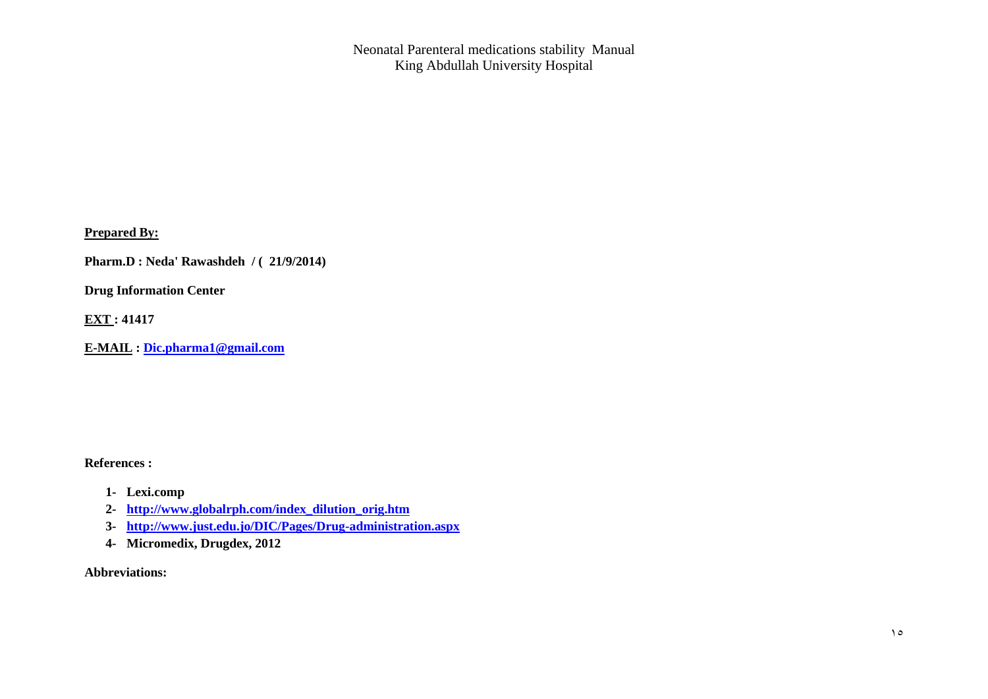**Prepared By:** 

**Pharm.D : Neda' Rawashdeh / ( 21/9/2014)**

**Drug Information Center** 

**EXT : 41417**

**E-MAIL : [Dic.pharma1@gmail.com](mailto:Dic.pharma1@gmail.com)**

**References :** 

- **1- Lexi.comp**
- **2- [http://www.globalrph.com/index\\_dilution\\_orig.htm](http://www.globalrph.com/index_dilution_orig.htm)**
- **3- <http://www.just.edu.jo/DIC/Pages/Drug-administration.aspx>**
- **4- Micromedix, Drugdex, 2012**

**Abbreviations:**